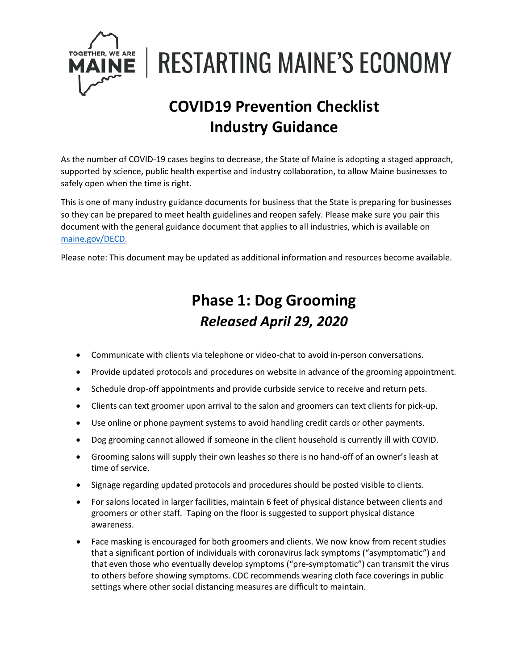

**RESTARTING MAINE'S ECONOMY** 

## **COVID19 Prevention Checklist Industry Guidance**

As the number of COVID-19 cases begins to decrease, the State of Maine is adopting a staged approach, supported by science, public health expertise and industry collaboration, to allow Maine businesses to safely open when the time is right.

This is one of many industry guidance documents for business that the State is preparing for businesses so they can be prepared to meet health guidelines and reopen safely. Please make sure you pair this document with the general guidance document that applies to all industries, which is available on [maine.gov/DECD.](https://www.maine.gov/DECD)

Please note: This document may be updated as additional information and resources become available.

## **Phase 1: Dog Grooming** *Released April 29, 2020*

- Communicate with clients via telephone or video-chat to avoid in-person conversations.
- Provide updated protocols and procedures on website in advance of the grooming appointment.
- Schedule drop-off appointments and provide curbside service to receive and return pets.
- Clients can text groomer upon arrival to the salon and groomers can text clients for pick-up.
- Use online or phone payment systems to avoid handling credit cards or other payments.
- Dog grooming cannot allowed if someone in the client household is currently ill with COVID.
- Grooming salons will supply their own leashes so there is no hand-off of an owner's leash at time of service.
- Signage regarding updated protocols and procedures should be posted visible to clients.
- For salons located in larger facilities, maintain 6 feet of physical distance between clients and groomers or other staff. Taping on the floor is suggested to support physical distance awareness.
- Face masking is encouraged for both groomers and clients. We now know from recent studies that a significant portion of individuals with coronavirus lack symptoms ("asymptomatic") and that even those who eventually develop symptoms ("pre-symptomatic") can transmit the virus to others before showing symptoms. CDC recommends wearing cloth face coverings in public settings where other social distancing measures are difficult to maintain.